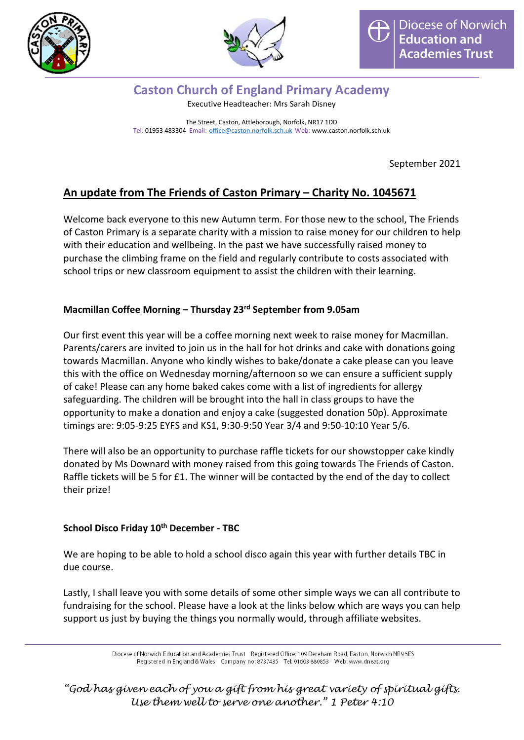



#### Caston Church of England Primary Academy Executive Headteacher: Mrs Sarah Disney

The Street, Caston, Attleborough, Norfolk, NR17 1DD Tel: 01953 483304 Email: office@caston.norfolk.sch.uk Web: www.caston.norfolk.sch.uk

September 2021

# An update from The Friends of Caston Primary – Charity No. 1045671

Welcome back everyone to this new Autumn term. For those new to the school, The Friends of Caston Primary is a separate charity with a mission to raise money for our children to help with their education and wellbeing. In the past we have successfully raised money to purchase the climbing frame on the field and regularly contribute to costs associated with school trips or new classroom equipment to assist the children with their learning.

### Macmillan Coffee Morning – Thursday 23rd September from 9.05am

Our first event this year will be a coffee morning next week to raise money for Macmillan. Parents/carers are invited to join us in the hall for hot drinks and cake with donations going towards Macmillan. Anyone who kindly wishes to bake/donate a cake please can you leave this with the office on Wednesday morning/afternoon so we can ensure a sufficient supply of cake! Please can any home baked cakes come with a list of ingredients for allergy safeguarding. The children will be brought into the hall in class groups to have the opportunity to make a donation and enjoy a cake (suggested donation 50p). Approximate timings are: 9:05-9:25 EYFS and KS1, 9:30-9:50 Year 3/4 and 9:50-10:10 Year 5/6.

There will also be an opportunity to purchase raffle tickets for our showstopper cake kindly donated by Ms Downard with money raised from this going towards The Friends of Caston. Raffle tickets will be 5 for £1. The winner will be contacted by the end of the day to collect their prize!

#### School Disco Friday 10<sup>th</sup> December - TBC

We are hoping to be able to hold a school disco again this year with further details TBC in due course.

Lastly, I shall leave you with some details of some other simple ways we can all contribute to fundraising for the school. Please have a look at the links below which are ways you can help support us just by buying the things you normally would, through affiliate websites.

> Diocese of Norwich Education and Academies Trust Registered Office: 109 Dereham Road, Easton, Norwich NR9 5ES Registered in England & Wales Company no: 8737435 Tel: 01603 880853 Web: www.dneat.org

"God has given each of you a gift from his great variety of spiritual gifts. Use them well to serve one another." 1 Peter 4:10